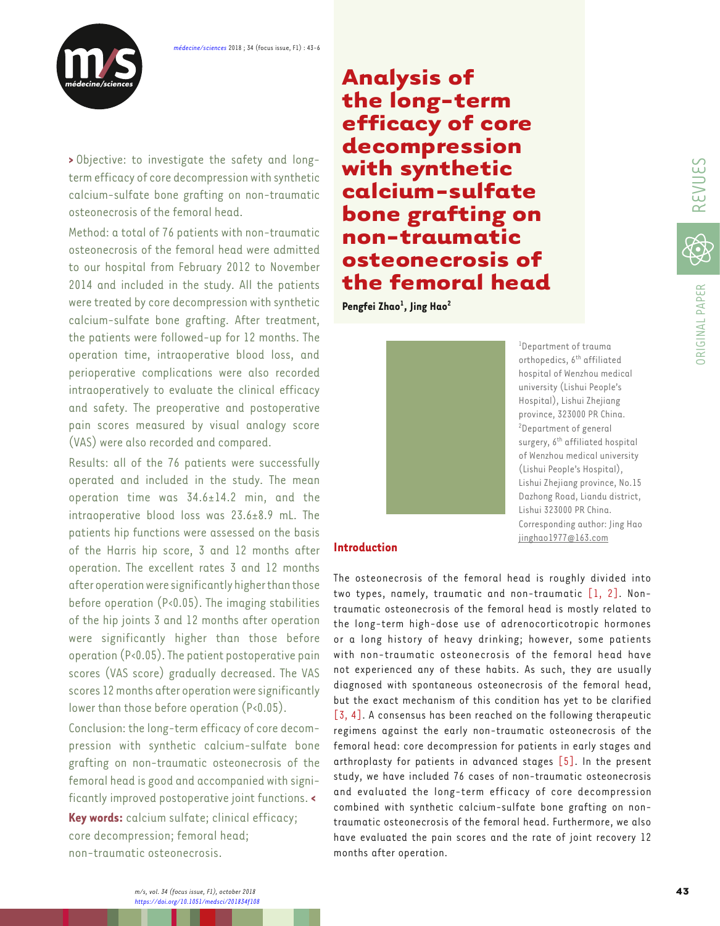

**>** Objective: to investigate the safety and longterm efficacy of core decompression with synthetic calcium-sulfate bone grafting on non-traumatic osteonecrosis of the femoral head.

Method: a total of 76 patients with non-traumatic osteonecrosis of the femoral head were admitted to our hospital from February 2012 to November 2014 and included in the study. All the patients were treated by core decompression with synthetic calcium-sulfate bone grafting. After treatment, the patients were followed-up for 12 months. The operation time, intraoperative blood loss, and perioperative complications were also recorded intraoperatively to evaluate the clinical efficacy and safety. The preoperative and postoperative pain scores measured by visual analogy score (VAS) were also recorded and compared.

Results: all of the 76 patients were successfully operated and included in the study. The mean operation time was 34.6±14.2 min, and the intraoperative blood loss was 23.6±8.9 mL. The patients hip functions were assessed on the basis of the Harris hip score, 3 and 12 months after operation. The excellent rates 3 and 12 months after operation were significantly higher than those before operation (P<0.05). The imaging stabilities of the hip joints 3 and 12 months after operation were significantly higher than those before operation (P<0.05). The patient postoperative pain scores (VAS score) gradually decreased. The VAS scores 12 months after operation were significantly lower than those before operation (P<0.05).

Conclusion: the long-term efficacy of core decompression with synthetic calcium-sulfate bone grafting on non-traumatic osteonecrosis of the femoral head is good and accompanied with significantly improved postoperative joint functions. **<**

**Key words:** calcium sulfate; clinical efficacy; core decompression; femoral head; non-traumatic osteonecrosis.

**Analysis of the long-term efficacy of core decompression with synthetic calcium-sulfate bone grafting on non-traumatic osteonecrosis of the femoral head**

**Pengfei Zhao1 , Jing Hao2**



1 Department of trauma orthopedics, 6<sup>th</sup> affiliated hospital of Wenzhou medical university (Lishui People's Hospital), Lishui Zhejiang province, 323000 PR China. 2 Department of general surgery, 6<sup>th</sup> affiliated hospital of Wenzhou medical university (Lishui People's Hospital), Lishui Zhejiang province, No.15 Dazhong Road, Liandu district, Lishui 323000 PR China. Corresponding author: Jing Hao jinghao1977@163.com

## **Introduction**

The osteonecrosis of the femoral head is roughly divided into two types, namely, traumatic and non-traumatic [\[1](#page-3-0), [2\].](#page-3-0) Nontraumatic osteonecrosis of the femoral head is mostly related to the long-term high-dose use of adrenocorticotropic hormones or a long history of heavy drinking; however, some patients with non-traumatic osteonecrosis of the femoral head have not experienced any of these habits. As such, they are usually diagnosed with spontaneous osteonecrosis of the femoral head, but the exact mechanism of this condition has yet to be clarified [\[3](#page-3-0), [4\].](#page-3-0) A consensus has been reached on the following therapeutic regimens against the early non-traumatic osteonecrosis of the femoral head: core decompression for patients in early stages and arthroplasty for patients in advanced stages [\[5\]](#page-3-0). In the present study, we have included 76 cases of non-traumatic osteonecrosis and evaluated the long-term efficacy of core decompression combined with synthetic calcium-sulfate bone grafting on nontraumatic osteonecrosis of the femoral head. Furthermore, we also have evaluated the pain scores and the rate of joint recovery 12 months after operation.

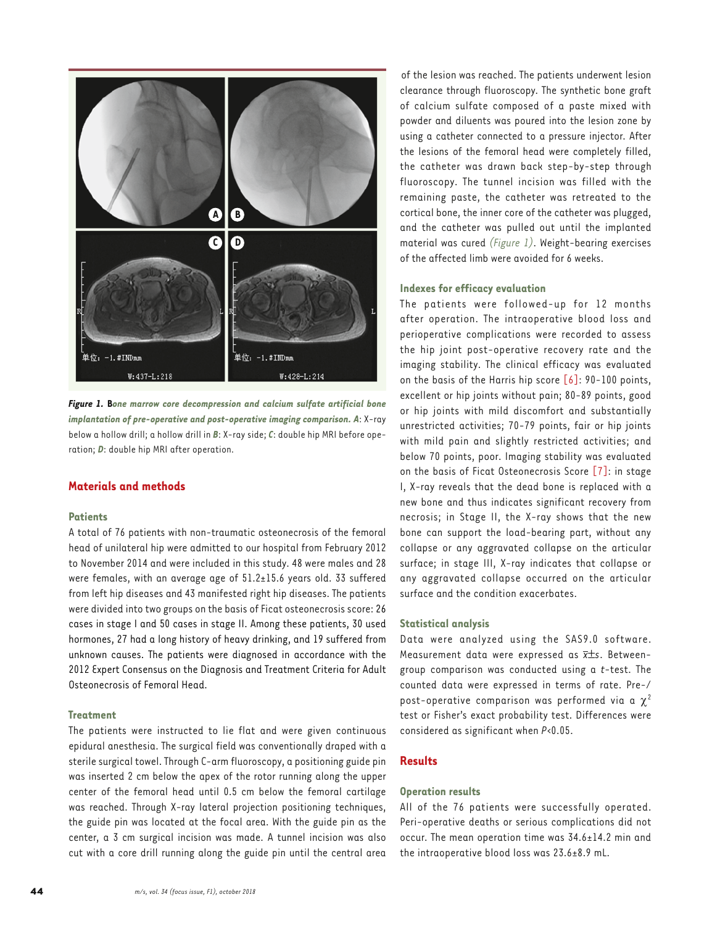

*Figure 1.* **B***one marrow core decompression and calcium sulfate artificial bone implantation of pre-operative and post-operative imaging comparison. A*: X-ray below a hollow drill; a hollow drill in *B*: X-ray side; *C*: double hip MRI before operation; *D*: double hip MRI after operation.

# **Materials and methods**

## **Patients**

A total of 76 patients with non-traumatic osteonecrosis of the femoral head of unilateral hip were admitted to our hospital from February 2012 to November 2014 and were included in this study. 48 were males and 28 were females, with an average age of 51.2±15.6 years old. 33 suffered from left hip diseases and 43 manifested right hip diseases. The patients were divided into two groups on the basis of Ficat osteonecrosis score: 26 cases in stage I and 50 cases in stage II. Among these patients, 30 used hormones, 27 had a long history of heavy drinking, and 19 suffered from unknown causes. The patients were diagnosed in accordance with the 2012 Expert Consensus on the Diagnosis and Treatment Criteria for Adult Osteonecrosis of Femoral Head.

# **Treatment**

The patients were instructed to lie flat and were given continuous epidural anesthesia. The surgical field was conventionally draped with a sterile surgical towel. Through C-arm fluoroscopy, a positioning guide pin was inserted 2 cm below the apex of the rotor running along the upper center of the femoral head until 0.5 cm below the femoral cartilage was reached. Through X-ray lateral projection positioning techniques, the guide pin was located at the focal area. With the guide pin as the center, a 3 cm surgical incision was made. A tunnel incision was also cut with a core drill running along the guide pin until the central area

of the lesion was reached. The patients underwent lesion clearance through fluoroscopy. The synthetic bone graft of calcium sulfate composed of a paste mixed with powder and diluents was poured into the lesion zone by using a catheter connected to a pressure injector. After the lesions of the femoral head were completely filled, the catheter was drawn back step-by-step through fluoroscopy. The tunnel incision was filled with the remaining paste, the catheter was retreated to the cortical bone, the inner core of the catheter was plugged, and the catheter was pulled out until the implanted material was cured *(Figure 1)*. Weight-bearing exercises of the affected limb were avoided for 6 weeks.

## **Indexes for efficacy evaluation**

The patients were followed-up for 12 months after operation. The intraoperative blood loss and perioperative complications were recorded to assess the hip joint post-operative recovery rate and the imaging stability. The clinical efficacy was evaluated on the basis of the Harris hip score  $\lceil 6 \rceil$ : 90-100 points, excellent or hip joints without pain; 80-89 points, good or hip joints with mild discomfort and substantially unrestricted activities; 70-79 points, fair or hip joints with mild pain and slightly restricted activities; and below 70 points, poor. Imaging stability was evaluated on the basis of Ficat Osteonecrosis Score [\[7\]:](#page-3-0) in stage I, X-ray reveals that the dead bone is replaced with a new bone and thus indicates significant recovery from necrosis; in Stage II, the X-ray shows that the new bone can support the load-bearing part, without any collapse or any aggravated collapse on the articular surface; in stage III, X-ray indicates that collapse or any aggravated collapse occurred on the articular surface and the condition exacerbates.

#### **Statistical analysis**

Data were analyzed using the SAS9.0 software. Measurement data were expressed as *x*±*s*. Betweengroup comparison was conducted using a *t*-test. The counted data were expressed in terms of rate. Pre-/ post-operative comparison was performed via a  $\chi^2$ test or Fisher's exact probability test. Differences were considered as significant when *P*<0.05.

## **Results**

#### **Operation results**

All of the 76 patients were successfully operated. Peri-operative deaths or serious complications did not occur. The mean operation time was 34.6±14.2 min and the intraoperative blood loss was 23.6±8.9 mL.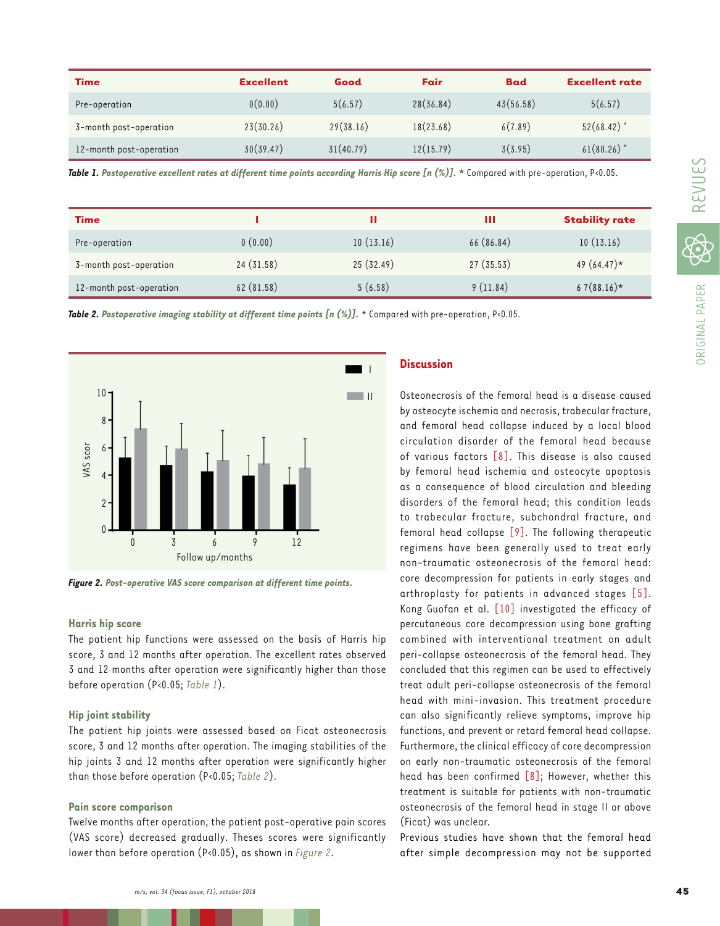| <b>Time</b>             | <b>Excellent</b> | Good      | Fair      | <b>Bad</b> | <b>Excellent rate</b> |
|-------------------------|------------------|-----------|-----------|------------|-----------------------|
| Pre-operation           | 0(0.00)          | 5(6.57)   | 28(36.84) | 43(56.58)  | 5(6.57)               |
| 3-month post-operation  | 23(30.26)        | 29(38.16) | 18(23.68) | 6(7.89)    | $52(68.42)^*$         |
| 12-month post-operation | 30(39.47)        | 31(40.79) | 12(15.79) | 3(3.95)    | $61(80.26)$ *         |

*Table 1. Postoperative excellent rates at different time points according Harris Hip score [n (%)].* \* Compared with pre-operation, P<0.05.

| <b>Time</b>             |           |           | Ш          | <b>Stability rate</b> |
|-------------------------|-----------|-----------|------------|-----------------------|
| Pre-operation           | 0(0.00)   | 10(13.16) | 66 (86.84) | 10(13.16)             |
| 3-month post-operation  | 24(31.58) | 25(32.49) | 27(35.53)  | 49 $(64.47)$ *        |
| 12-month post-operation | 62(81.58) | 5(6.58)   | 9(11.84)   | $67(88.16)*$          |

*Table 2. Postoperative imaging stability at different time points [n (%)].* \* Compared with pre-operation, P<0.05.



*Figure 2. Post-operative VAS score comparison at different time points.*

## **Harris hip score**

The patient hip functions were assessed on the basis of Harris hip score, 3 and 12 months after operation. The excellent rates observed 3 and 12 months after operation were significantly higher than those before operation (P<0.05; *Table 1*).

### **Hip joint stability**

The patient hip joints were assessed based on Ficat osteonecrosis score, 3 and 12 months after operation. The imaging stabilities of the hip joints 3 and 12 months after operation were significantly higher than those before operation (P<0.05; *Table 2*).

#### **Pain score comparison**

Twelve months after operation, the patient post-operative pain scores (VAS score) decreased gradually. Theses scores were significantly lower than before operation (P<0.05), as shown in *Figure 2*.

# **Discussion**

Osteonecrosis of the femoral head is a disease caused by osteocyte ischemia and necrosis, trabecular fracture, and femoral head collapse induced by a local blood circulation disorder of the femoral head because of various factors [\[8\]](#page-3-0). This disease is also caused by femoral head ischemia and osteocyte apoptosis as a consequence of blood circulation and bleeding disorders of the femoral head; this condition leads to trabecular fracture, subchondral fracture, and femoral head collapse [\[9\]](#page-3-0). The following therapeutic regimens have been generally used to treat early non-traumatic osteonecrosis of the femoral head: core decompression for patients in early stages and arthroplasty for patients in advanced stages [\[5\]](#page-3-0). Kong Guofan et al. [\[10\]](#page-3-0) investigated the efficacy of percutaneous core decompression using bone grafting combined with interventional treatment on adult peri-collapse osteonecrosis of the femoral head. They concluded that this regimen can be used to effectively treat adult peri-collapse osteonecrosis of the femoral head with mini-invasion. This treatment procedure can also significantly relieve symptoms, improve hip functions, and prevent or retard femoral head collapse. Furthermore, the clinical efficacy of core decompression on early non-traumatic osteonecrosis of the femoral head has been confirmed  $\lceil 8 \rceil$ ; However, whether this treatment is suitable for patients with non-traumatic osteonecrosis of the femoral head in stage II or above (Ficat) was unclear.

Previous studies have shown that the femoral head after simple decompression may not be supported

ORIGINAL PAPER

**DRIGINAL PAPER**